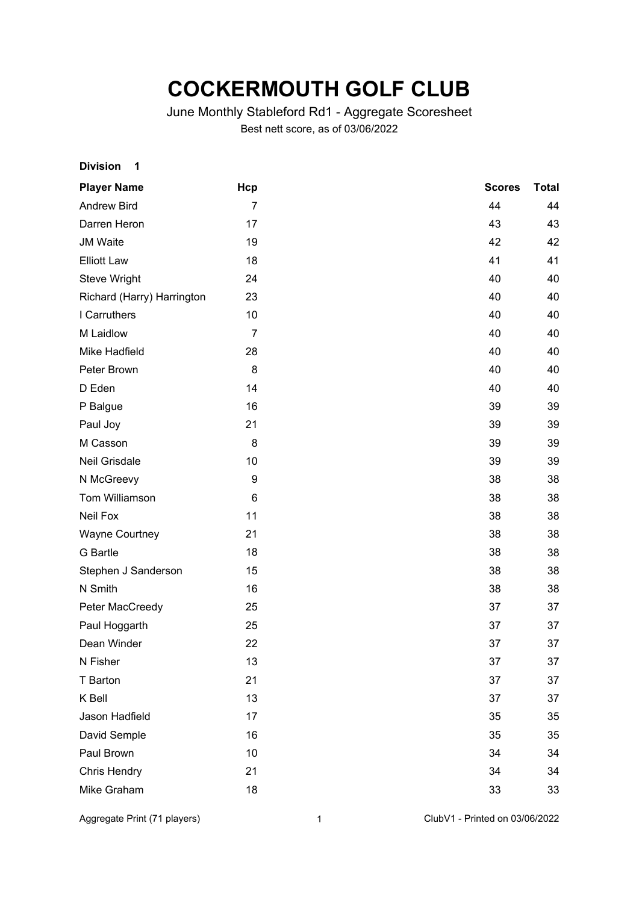## **COCKERMOUTH GOLF CLUB**

## June Monthly Stableford Rd1 - Aggregate Scoresheet Best nett score, as of 03/06/2022

| <b>Division</b><br>1       |                |               |              |
|----------------------------|----------------|---------------|--------------|
| <b>Player Name</b>         | Hcp            | <b>Scores</b> | <b>Total</b> |
| <b>Andrew Bird</b>         | $\overline{7}$ | 44            | 44           |
| Darren Heron               | 17             | 43            | 43           |
| <b>JM Waite</b>            | 19             | 42            | 42           |
| <b>Elliott Law</b>         | 18             | 41            | 41           |
| Steve Wright               | 24             | 40            | 40           |
| Richard (Harry) Harrington | 23             | 40            | 40           |
| I Carruthers               | 10             | 40            | 40           |
| M Laidlow                  | $\overline{7}$ | 40            | 40           |
| Mike Hadfield              | 28             | 40            | 40           |
| Peter Brown                | 8              | 40            | 40           |
| D Eden                     | 14             | 40            | 40           |
| P Balgue                   | 16             | 39            | 39           |
| Paul Joy                   | 21             | 39            | 39           |
| M Casson                   | 8              | 39            | 39           |
| Neil Grisdale              | 10             | 39            | 39           |
| N McGreevy                 | 9              | 38            | 38           |
| Tom Williamson             | 6              | 38            | 38           |
| Neil Fox                   | 11             | 38            | 38           |
| <b>Wayne Courtney</b>      | 21             | 38            | 38           |
| <b>G</b> Bartle            | 18             | 38            | 38           |
| Stephen J Sanderson        | 15             | 38            | 38           |
| N Smith                    | 16             | 38            | 38           |
| Peter MacCreedy            | 25             | 37            | 37           |
| Paul Hoggarth              | 25             | 37            | 37           |
| Dean Winder                | 22             | 37            | 37           |
| N Fisher                   | 13             | 37            | 37           |
| T Barton                   | 21             | 37            | 37           |
| K Bell                     | 13             | 37            | 37           |
| Jason Hadfield             | 17             | 35            | 35           |
| David Semple               | 16             | 35            | 35           |
| Paul Brown                 | 10             | 34            | 34           |
| <b>Chris Hendry</b>        | 21             | 34            | 34           |
| Mike Graham                | 18             | 33            | 33           |